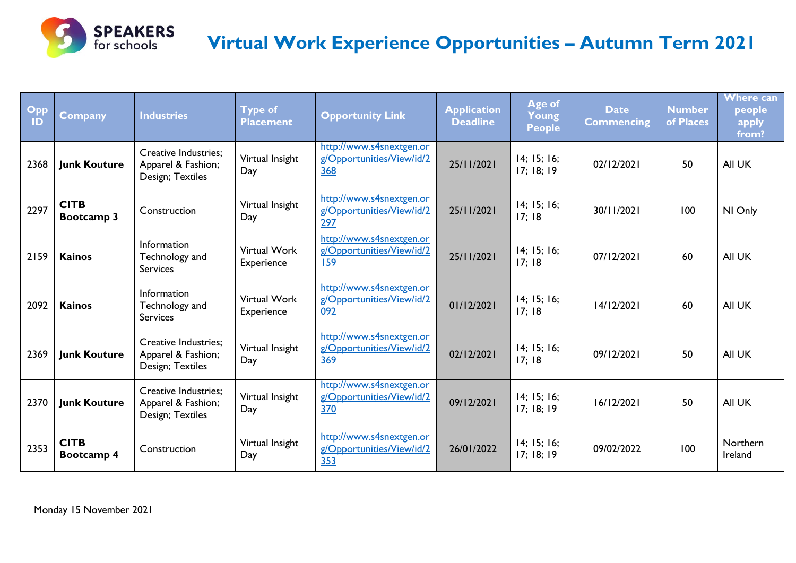

### **Virtual Work Experience Opportunities – Autumn Term 2021**

| Opp<br>ID | <b>Company</b>            | <b>Industries</b>                                                     | <b>Type of</b><br><b>Placement</b> | <b>Opportunity Link</b>                                      | <b>Application</b><br><b>Deadline</b> | Age of<br>Young<br><b>People</b> | <b>Date</b><br><b>Commencing</b> | <b>Number</b><br>of Places | <b>Where can</b><br>people<br>apply<br>from? |
|-----------|---------------------------|-----------------------------------------------------------------------|------------------------------------|--------------------------------------------------------------|---------------------------------------|----------------------------------|----------------------------------|----------------------------|----------------------------------------------|
| 2368      | <b>Junk Kouture</b>       | <b>Creative Industries:</b><br>Apparel & Fashion;<br>Design; Textiles | Virtual Insight<br>Day             | http://www.s4snextgen.or<br>g/Opportunities/View/id/2<br>368 | 25/11/2021                            | 14; 15; 16;<br>17; 18; 19        | 02/12/2021                       | 50                         | All UK                                       |
| 2297      | <b>CITB</b><br>Bootcamp 3 | Construction                                                          | Virtual Insight<br>Day             | http://www.s4snextgen.or<br>g/Opportunities/View/id/2<br>297 | 25/11/2021                            | 14; 15; 16;<br>17;18             | 30/11/2021                       | 100                        | NI Only                                      |
| 2159      | <b>Kainos</b>             | Information<br>Technology and<br><b>Services</b>                      | <b>Virtual Work</b><br>Experience  | http://www.s4snextgen.or<br>g/Opportunities/View/id/2<br>159 | 25/11/2021                            | 14; 15; 16;<br>17;18             | 07/12/2021                       | 60                         | All UK                                       |
| 2092      | <b>Kainos</b>             | Information<br>Technology and<br><b>Services</b>                      | <b>Virtual Work</b><br>Experience  | http://www.s4snextgen.or<br>g/Opportunities/View/id/2<br>092 | 01/12/2021                            | 14; 15; 16;<br>17;18             | 14/12/2021                       | 60                         | All UK                                       |
| 2369      | <b>Junk Kouture</b>       | <b>Creative Industries:</b><br>Apparel & Fashion;<br>Design; Textiles | Virtual Insight<br>Day             | http://www.s4snextgen.or<br>g/Opportunities/View/id/2<br>369 | 02/12/2021                            | 14; 15; 16;<br>17;18             | 09/12/2021                       | 50                         | All UK                                       |
| 2370      | <b>Junk Kouture</b>       | <b>Creative Industries;</b><br>Apparel & Fashion;<br>Design; Textiles | Virtual Insight<br>Day             | http://www.s4snextgen.or<br>g/Opportunities/View/id/2<br>370 | 09/12/2021                            | 14; 15; 16;<br>17; 18; 19        | 16/12/2021                       | 50                         | All UK                                       |
| 2353      | <b>CITB</b><br>Bootcamp 4 | Construction                                                          | Virtual Insight<br>Day             | http://www.s4snextgen.or<br>g/Opportunities/View/id/2<br>353 | 26/01/2022                            | 14; 15; 16;<br>17; 18; 19        | 09/02/2022                       | 100                        | Northern<br>Ireland                          |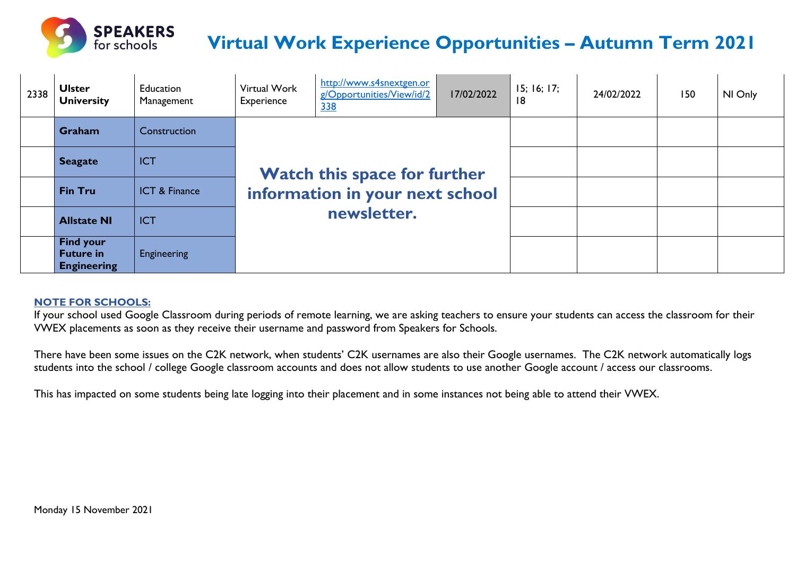

# **Virtual Work Experience Opportunities – Autumn Term 2021**

| 2338 | <b>Ulster</b><br><b>University</b>                         | Education<br>Management  | Virtual Work<br>Experience                     | http://www.s4snextgen.or<br>g/Opportunities/View/id/2<br>338 | 17/02/2022 | 15; 16; 17;<br>18 | 24/02/2022 | 150 | NI Only |
|------|------------------------------------------------------------|--------------------------|------------------------------------------------|--------------------------------------------------------------|------------|-------------------|------------|-----|---------|
|      | Graham                                                     | Construction             | <b>Watch this space for further</b>            |                                                              |            |                   |            |     |         |
|      | <b>Seagate</b>                                             | <b>ICT</b>               |                                                |                                                              |            |                   |            |     |         |
|      | <b>Fin Tru</b>                                             | <b>ICT &amp; Finance</b> | information in your next school<br>newsletter. |                                                              |            |                   |            |     |         |
|      | <b>Allstate NI</b>                                         | <b>ICT</b>               |                                                |                                                              |            |                   |            |     |         |
|      | <b>Find your</b><br><b>Future in</b><br><b>Engineering</b> | Engineering              |                                                |                                                              |            |                   |            |     |         |

#### **NOTE FOR SCHOOLS:**

If your school used Google Classroom during periods of remote learning, we are asking teachers to ensure your students can access the classroom for their VWEX placements as soon as they receive their username and password from Speakers for Schools.

There have been some issues on the C2K network, when students' C2K usernames are also their Google usernames. The C2K network automatically logs students into the school / college Google classroom accounts and does not allow students to use another Google account / access our classrooms.

This has impacted on some students being late logging into their placement and in some instances not being able to attend their VWEX.